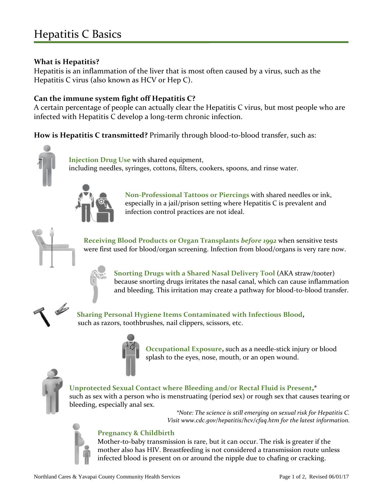# Hepatitis C Basics

#### **What is Hepatitis?**

Hepatitis is an inflammation of the liver that is most often caused by a virus, such as the Hepatitis C virus (also known as HCV or Hep C).

#### **Can the immune system fight off Hepatitis C?**

A certain percentage of people can actually clear the Hepatitis C virus, but most people who are infected with Hepatitis C develop a long-term chronic infection.

**How is Hepatitis C transmitted?** Primarily through blood-to-blood transfer, such as:



 **Injection Drug Use** with shared equipment, including needles, syringes, cottons, filters, cookers, spoons, and rinse water.



**Non-Professional Tattoos or Piercings** with shared needles or ink, especially in a jail/prison setting where Hepatitis C is prevalent and infection control practices are not ideal.



**Receiving Blood Products or Organ Transplants** *before 1992* when sensitive tests were first used for blood/organ screening. Infection from blood/organs is very rare now.



**Snorting Drugs with a Shared Nasal Delivery Tool** (AKA straw/tooter) because snorting drugs irritates the nasal canal, which can cause inflammation and bleeding. This irritation may create a pathway for blood-to-blood transfer.



**Sharing Personal Hygiene Items Contaminated with Infectious Blood,** such as razors, toothbrushes, nail clippers, scissors, etc.



**Occupational Exposure,** such as a needle-stick injury or blood splash to the eyes, nose, mouth, or an open wound.



**Unprotected Sexual Contact where Bleeding and/or Rectal Fluid is Present,\*** such as sex with a person who is menstruating (period sex) or rough sex that causes tearing or bleeding, especially anal sex.

> *\*Note: The science is still emerging on sexual risk for Hepatitis C. Visit www.cdc.gov/hepatitis/hcv/cfaq.htm for the latest information.*



#### **Pregnancy & Childbirth**

Mother-to-baby transmission is rare, but it can occur. The risk is greater if the mother also has HIV. Breastfeeding is not considered a transmission route unless infected blood is present on or around the nipple due to chafing or cracking.